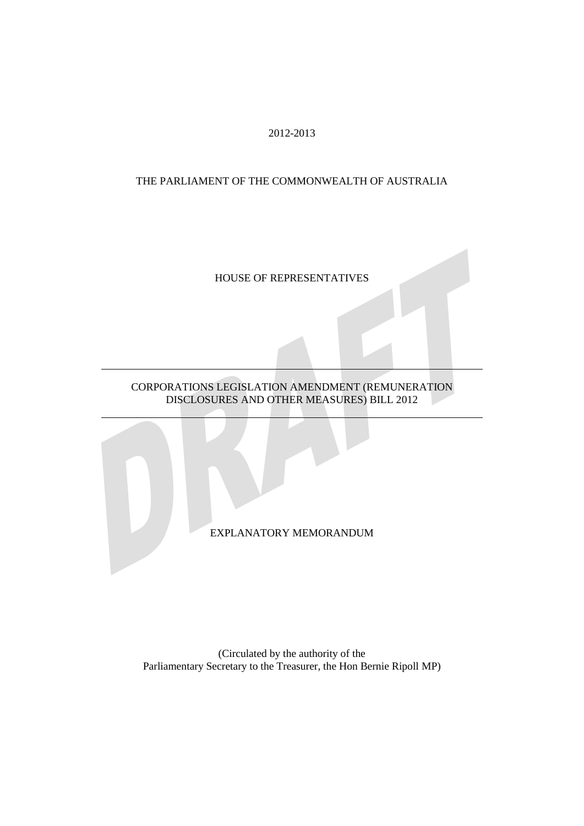2012-2013

#### THE PARLIAMENT OF THE COMMONWEALTH OF AUSTRALIA

### HOUSE OF REPRESENTATIVES

### CORPORATIONS LEGISLATION AMENDMENT (REMUNERATION DISCLOSURES AND OTHER MEASURES) BILL 2012

EXPLANATORY MEMORANDUM

(Circulated by the authority of the Parliamentary Secretary to the Treasurer, the Hon Bernie Ripoll MP)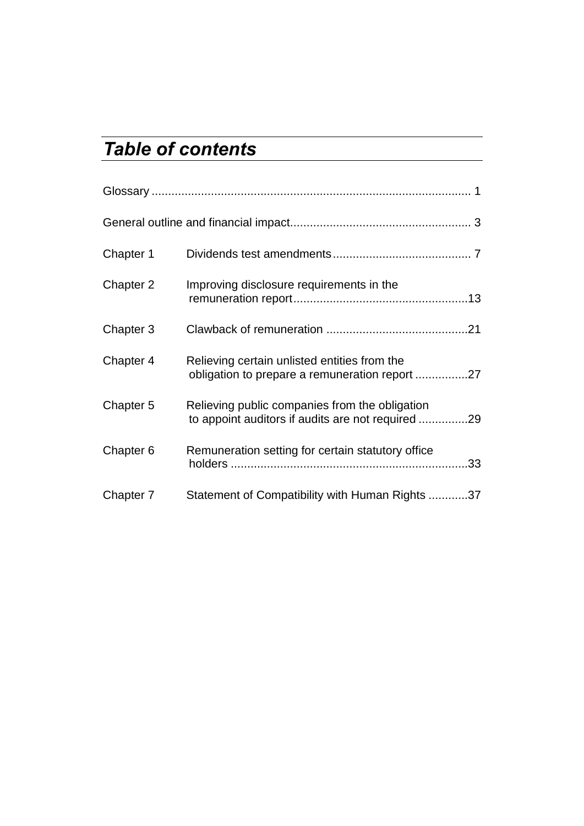# *Table of contents*

| Chapter 1 |                                                                                                     |  |
|-----------|-----------------------------------------------------------------------------------------------------|--|
| Chapter 2 | Improving disclosure requirements in the                                                            |  |
| Chapter 3 |                                                                                                     |  |
| Chapter 4 | Relieving certain unlisted entities from the<br>obligation to prepare a remuneration report 27      |  |
| Chapter 5 | Relieving public companies from the obligation<br>to appoint auditors if audits are not required 29 |  |
| Chapter 6 | Remuneration setting for certain statutory office                                                   |  |
| Chapter 7 | Statement of Compatibility with Human Rights 37                                                     |  |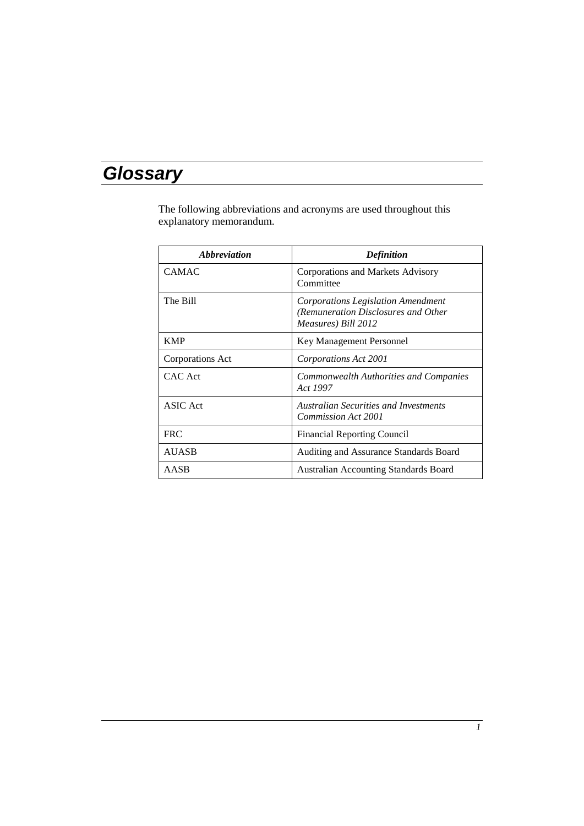# *Glossary*

The following abbreviations and acronyms are used throughout this explanatory memorandum.

| <i><b>Abbreviation</b></i> | <b>Definition</b>                                                                                |
|----------------------------|--------------------------------------------------------------------------------------------------|
| <b>CAMAC</b>               | Corporations and Markets Advisory<br>Committee                                                   |
| The Bill                   | Corporations Legislation Amendment<br>(Remuneration Disclosures and Other<br>Measures) Bill 2012 |
| <b>KMP</b>                 | Key Management Personnel                                                                         |
| Corporations Act           | Corporations Act 2001                                                                            |
| CAC Act                    | Commonwealth Authorities and Companies<br>Act 1997                                               |
| <b>ASIC</b> Act            | <b>Australian Securities and Investments</b><br>Commission Act 2001                              |
| <b>FRC</b>                 | <b>Financial Reporting Council</b>                                                               |
| <b>AUASB</b>               | Auditing and Assurance Standards Board                                                           |
| AASB                       | <b>Australian Accounting Standards Board</b>                                                     |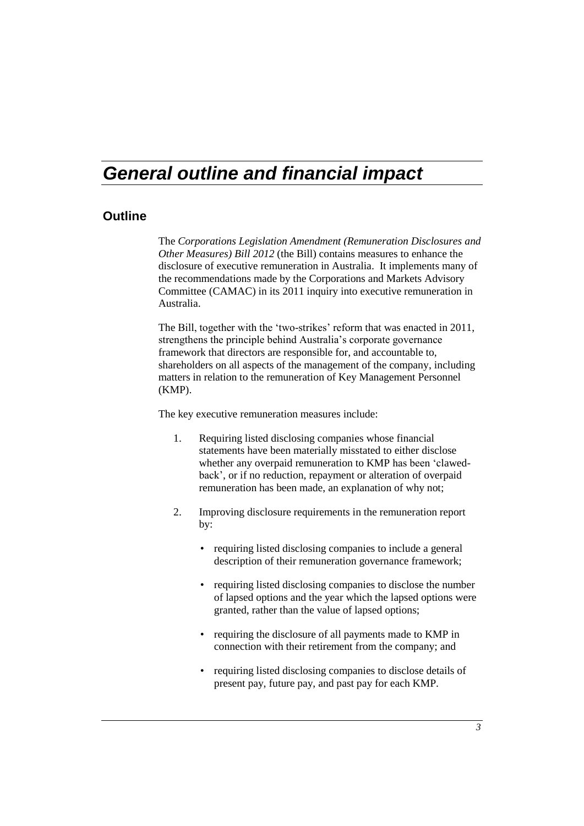# *General outline and financial impact*

#### **Outline**

The *Corporations Legislation Amendment (Remuneration Disclosures and Other Measures) Bill 2012* (the Bill) contains measures to enhance the disclosure of executive remuneration in Australia. It implements many of the recommendations made by the Corporations and Markets Advisory Committee (CAMAC) in its 2011 inquiry into executive remuneration in Australia.

The Bill, together with the 'two-strikes' reform that was enacted in 2011, strengthens the principle behind Australia's corporate governance framework that directors are responsible for, and accountable to, shareholders on all aspects of the management of the company, including matters in relation to the remuneration of Key Management Personnel (KMP).

The key executive remuneration measures include:

- 1. Requiring listed disclosing companies whose financial statements have been materially misstated to either disclose whether any overpaid remuneration to KMP has been 'clawedback', or if no reduction, repayment or alteration of overpaid remuneration has been made, an explanation of why not;
- 2. Improving disclosure requirements in the remuneration report by:
	- requiring listed disclosing companies to include a general description of their remuneration governance framework;
	- requiring listed disclosing companies to disclose the number of lapsed options and the year which the lapsed options were granted, rather than the value of lapsed options;
	- requiring the disclosure of all payments made to KMP in connection with their retirement from the company; and
	- requiring listed disclosing companies to disclose details of present pay, future pay, and past pay for each KMP.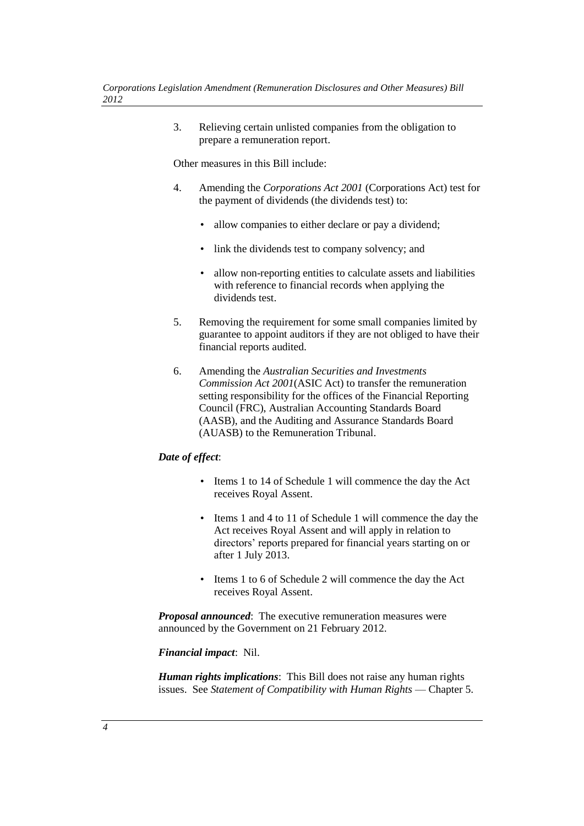3. Relieving certain unlisted companies from the obligation to prepare a remuneration report.

Other measures in this Bill include:

- 4. Amending the *Corporations Act 2001* (Corporations Act) test for the payment of dividends (the dividends test) to:
	- allow companies to either declare or pay a dividend;
	- link the dividends test to company solvency; and
	- allow non-reporting entities to calculate assets and liabilities with reference to financial records when applying the dividends test.
- 5. Removing the requirement for some small companies limited by guarantee to appoint auditors if they are not obliged to have their financial reports audited.
- 6. Amending the *Australian Securities and Investments Commission Act 2001*(ASIC Act) to transfer the remuneration setting responsibility for the offices of the Financial Reporting Council (FRC), Australian Accounting Standards Board (AASB), and the Auditing and Assurance Standards Board (AUASB) to the Remuneration Tribunal.

#### *Date of effect*:

- Items 1 to 14 of Schedule 1 will commence the day the Act receives Royal Assent.
- Items 1 and 4 to 11 of Schedule 1 will commence the day the Act receives Royal Assent and will apply in relation to directors' reports prepared for financial years starting on or after 1 July 2013.
- Items 1 to 6 of Schedule 2 will commence the day the Act receives Royal Assent.

*Proposal announced*: The executive remuneration measures were announced by the Government on 21 February 2012.

#### *Financial impact*: Nil.

*Human rights implications*: This Bill does not raise any human rights issues. See *Statement of Compatibility with Human Rights* — Chapter 5.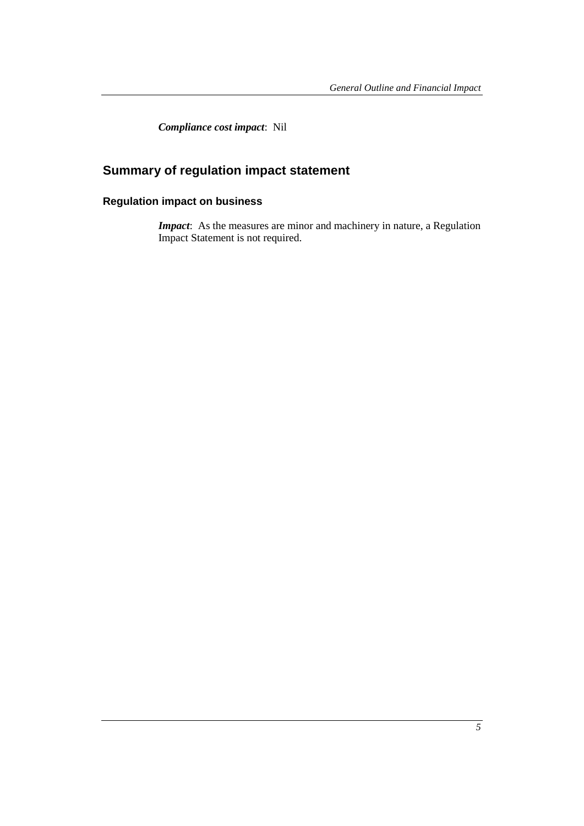*Compliance cost impact*: Nil

# **Summary of regulation impact statement**

## **Regulation impact on business**

*Impact*: As the measures are minor and machinery in nature, a Regulation Impact Statement is not required.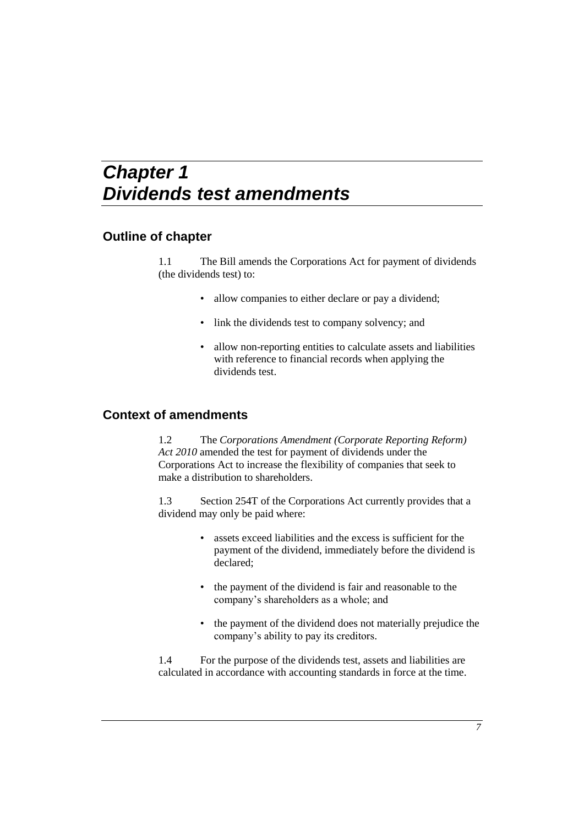# *Chapter 1 Dividends test amendments*

## **Outline of chapter**

1.1 The Bill amends the Corporations Act for payment of dividends (the dividends test) to:

- allow companies to either declare or pay a dividend;
- link the dividends test to company solvency; and
- allow non-reporting entities to calculate assets and liabilities with reference to financial records when applying the dividends test.

### **Context of amendments**

1.2 The *Corporations Amendment (Corporate Reporting Reform) Act 2010* amended the test for payment of dividends under the Corporations Act to increase the flexibility of companies that seek to make a distribution to shareholders.

1.3 Section 254T of the Corporations Act currently provides that a dividend may only be paid where:

- assets exceed liabilities and the excess is sufficient for the payment of the dividend, immediately before the dividend is declared;
- the payment of the dividend is fair and reasonable to the company's shareholders as a whole; and
- the payment of the dividend does not materially prejudice the company's ability to pay its creditors.

1.4 For the purpose of the dividends test, assets and liabilities are calculated in accordance with accounting standards in force at the time.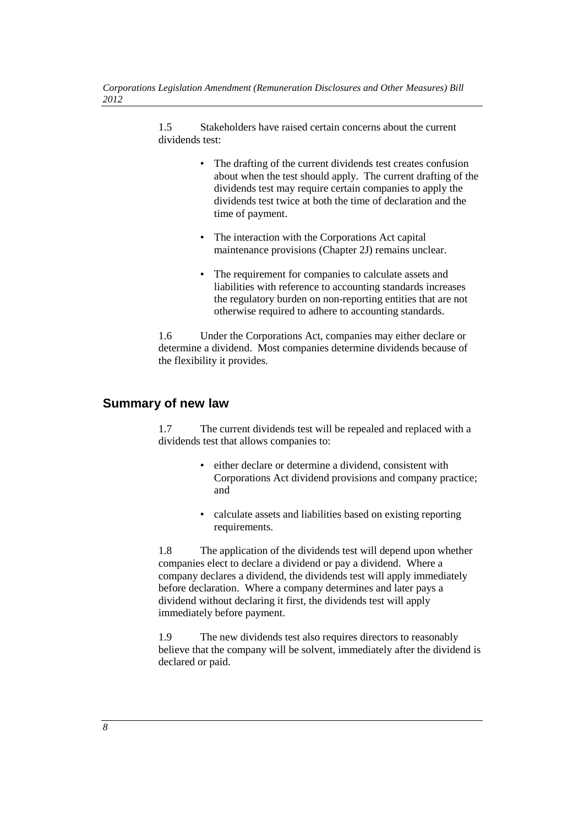1.5 Stakeholders have raised certain concerns about the current dividends test:

- The drafting of the current dividends test creates confusion about when the test should apply. The current drafting of the dividends test may require certain companies to apply the dividends test twice at both the time of declaration and the time of payment.
- The interaction with the Corporations Act capital maintenance provisions (Chapter 2J) remains unclear.
- The requirement for companies to calculate assets and liabilities with reference to accounting standards increases the regulatory burden on non-reporting entities that are not otherwise required to adhere to accounting standards.

1.6 Under the Corporations Act, companies may either declare or determine a dividend. Most companies determine dividends because of the flexibility it provides.

#### **Summary of new law**

1.7 The current dividends test will be repealed and replaced with a dividends test that allows companies to:

- either declare or determine a dividend, consistent with Corporations Act dividend provisions and company practice; and
- calculate assets and liabilities based on existing reporting requirements.

1.8 The application of the dividends test will depend upon whether companies elect to declare a dividend or pay a dividend. Where a company declares a dividend, the dividends test will apply immediately before declaration. Where a company determines and later pays a dividend without declaring it first, the dividends test will apply immediately before payment.

1.9 The new dividends test also requires directors to reasonably believe that the company will be solvent, immediately after the dividend is declared or paid.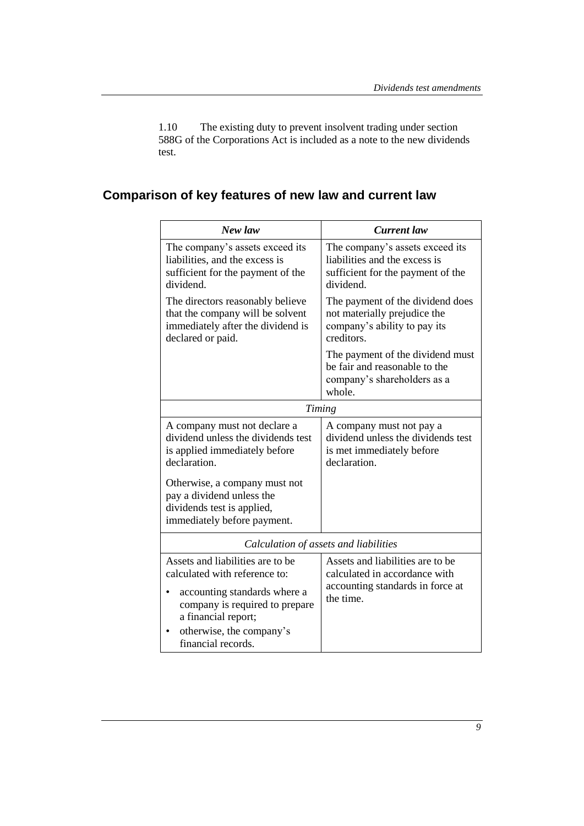1.10 The existing duty to prevent insolvent trading under section 588G of the Corporations Act is included as a note to the new dividends test.

# **Comparison of key features of new law and current law**

| New law                                                                                                                                                                                                         | <b>Current</b> law                                                                                                 |  |
|-----------------------------------------------------------------------------------------------------------------------------------------------------------------------------------------------------------------|--------------------------------------------------------------------------------------------------------------------|--|
| The company's assets exceed its<br>liabilities, and the excess is<br>sufficient for the payment of the<br>dividend.                                                                                             | The company's assets exceed its<br>liabilities and the excess is<br>sufficient for the payment of the<br>dividend. |  |
| The directors reasonably believe<br>that the company will be solvent<br>immediately after the dividend is<br>declared or paid.                                                                                  | The payment of the dividend does<br>not materially prejudice the<br>company's ability to pay its<br>creditors.     |  |
|                                                                                                                                                                                                                 | The payment of the dividend must<br>be fair and reasonable to the<br>company's shareholders as a<br>whole.         |  |
| <b>Timing</b>                                                                                                                                                                                                   |                                                                                                                    |  |
| A company must not declare a<br>dividend unless the dividends test<br>is applied immediately before<br>declaration.<br>Otherwise, a company must not<br>pay a dividend unless the<br>dividends test is applied, | A company must not pay a<br>dividend unless the dividends test<br>is met immediately before<br>declaration.        |  |
| immediately before payment.                                                                                                                                                                                     |                                                                                                                    |  |
| Calculation of assets and liabilities                                                                                                                                                                           |                                                                                                                    |  |
| Assets and liabilities are to be<br>calculated with reference to:<br>accounting standards where a<br>company is required to prepare<br>a financial report;<br>otherwise, the company's<br>financial records.    | Assets and liabilities are to be<br>calculated in accordance with<br>accounting standards in force at<br>the time. |  |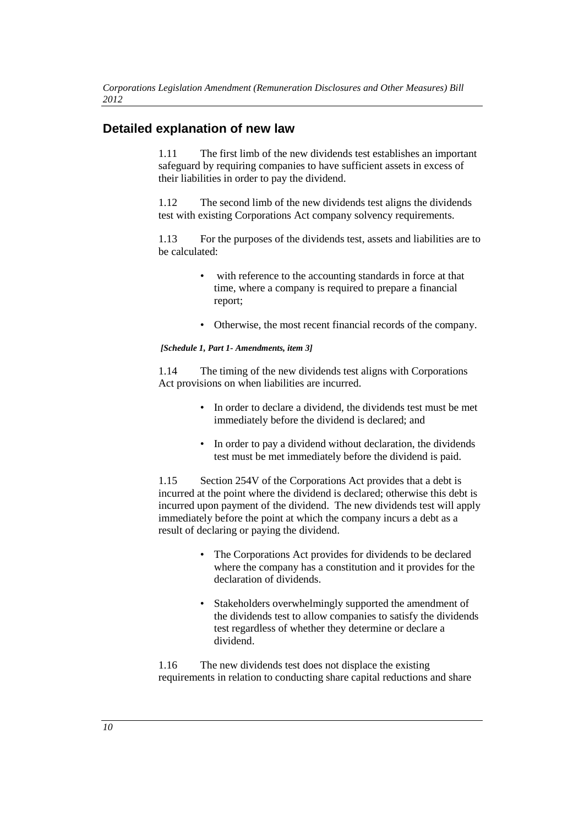## **Detailed explanation of new law**

1.11 The first limb of the new dividends test establishes an important safeguard by requiring companies to have sufficient assets in excess of their liabilities in order to pay the dividend.

1.12 The second limb of the new dividends test aligns the dividends test with existing Corporations Act company solvency requirements.

1.13 For the purposes of the dividends test, assets and liabilities are to be calculated:

- with reference to the accounting standards in force at that time, where a company is required to prepare a financial report;
- Otherwise, the most recent financial records of the company.

*[Schedule 1, Part 1- Amendments, item 3]*

1.14 The timing of the new dividends test aligns with Corporations Act provisions on when liabilities are incurred.

- In order to declare a dividend, the dividends test must be met immediately before the dividend is declared; and
- In order to pay a dividend without declaration, the dividends test must be met immediately before the dividend is paid.

1.15 Section 254V of the Corporations Act provides that a debt is incurred at the point where the dividend is declared; otherwise this debt is incurred upon payment of the dividend. The new dividends test will apply immediately before the point at which the company incurs a debt as a result of declaring or paying the dividend.

- The Corporations Act provides for dividends to be declared where the company has a constitution and it provides for the declaration of dividends.
- Stakeholders overwhelmingly supported the amendment of the dividends test to allow companies to satisfy the dividends test regardless of whether they determine or declare a dividend.

1.16 The new dividends test does not displace the existing requirements in relation to conducting share capital reductions and share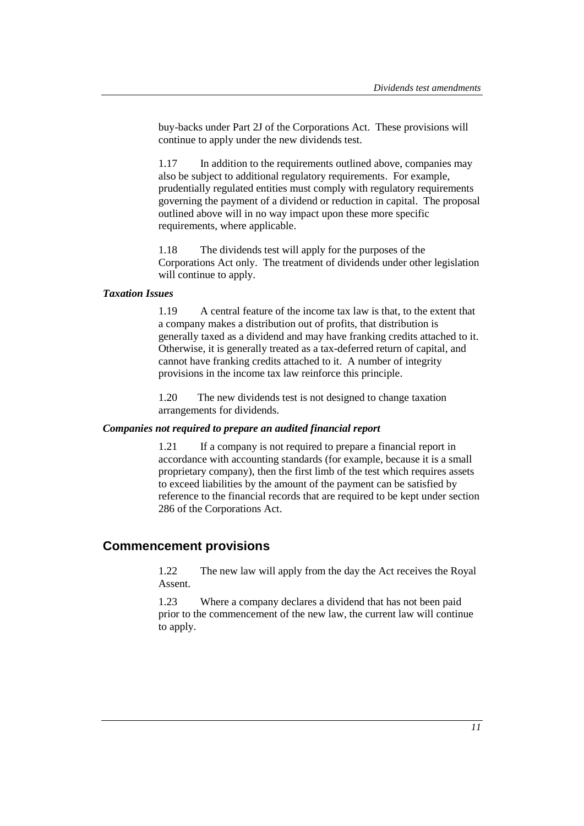buy-backs under Part 2J of the Corporations Act. These provisions will continue to apply under the new dividends test.

1.17 In addition to the requirements outlined above, companies may also be subject to additional regulatory requirements. For example, prudentially regulated entities must comply with regulatory requirements governing the payment of a dividend or reduction in capital. The proposal outlined above will in no way impact upon these more specific requirements, where applicable.

1.18 The dividends test will apply for the purposes of the Corporations Act only. The treatment of dividends under other legislation will continue to apply.

#### *Taxation Issues*

1.19 A central feature of the income tax law is that, to the extent that a company makes a distribution out of profits, that distribution is generally taxed as a dividend and may have franking credits attached to it. Otherwise, it is generally treated as a tax-deferred return of capital, and cannot have franking credits attached to it. A number of integrity provisions in the income tax law reinforce this principle.

1.20 The new dividends test is not designed to change taxation arrangements for dividends.

#### *Companies not required to prepare an audited financial report*

1.21 If a company is not required to prepare a financial report in accordance with accounting standards (for example, because it is a small proprietary company), then the first limb of the test which requires assets to exceed liabilities by the amount of the payment can be satisfied by reference to the financial records that are required to be kept under section 286 of the Corporations Act.

#### **Commencement provisions**

1.22 The new law will apply from the day the Act receives the Royal Assent.

1.23 Where a company declares a dividend that has not been paid prior to the commencement of the new law, the current law will continue to apply.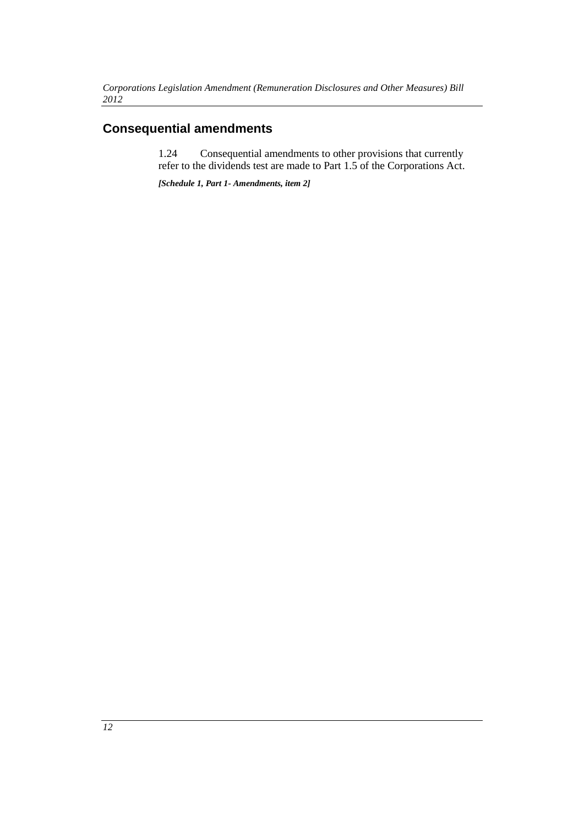# **Consequential amendments**

1.24 Consequential amendments to other provisions that currently refer to the dividends test are made to Part 1.5 of the Corporations Act.

*[Schedule 1, Part 1- Amendments, item 2]*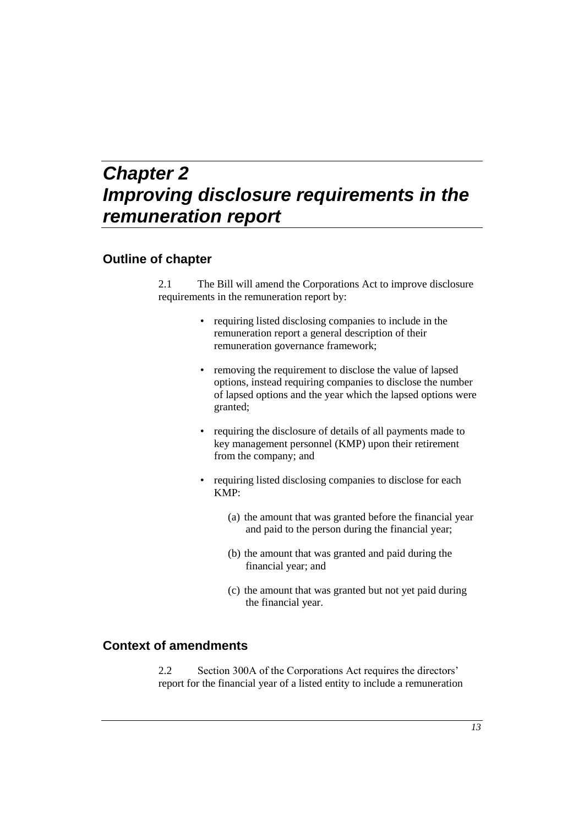# *Chapter 2 Improving disclosure requirements in the remuneration report*

### **Outline of chapter**

2.1 The Bill will amend the Corporations Act to improve disclosure requirements in the remuneration report by:

- requiring listed disclosing companies to include in the remuneration report a general description of their remuneration governance framework;
- removing the requirement to disclose the value of lapsed options, instead requiring companies to disclose the number of lapsed options and the year which the lapsed options were granted;
- requiring the disclosure of details of all payments made to key management personnel (KMP) upon their retirement from the company; and
- requiring listed disclosing companies to disclose for each KMP:
	- (a) the amount that was granted before the financial year and paid to the person during the financial year;
	- (b) the amount that was granted and paid during the financial year; and
	- (c) the amount that was granted but not yet paid during the financial year.

### **Context of amendments**

2.2 Section 300A of the Corporations Act requires the directors' report for the financial year of a listed entity to include a remuneration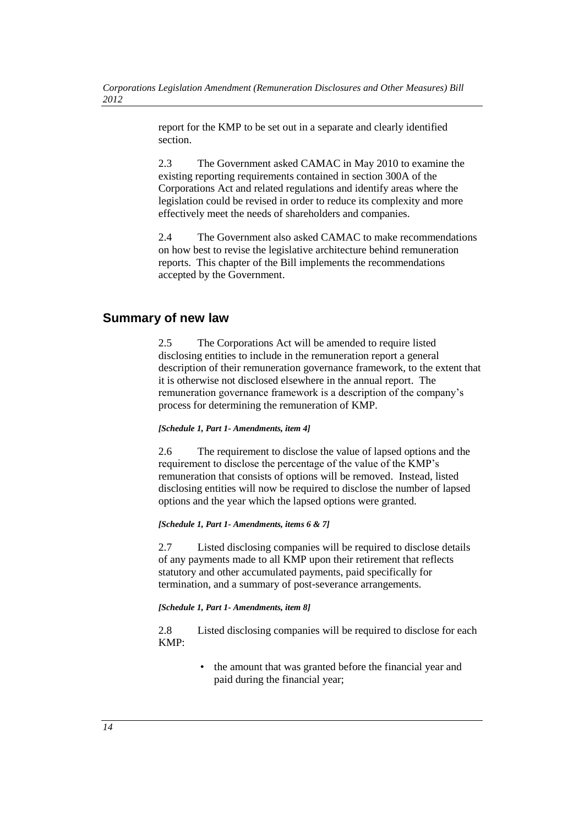report for the KMP to be set out in a separate and clearly identified section.

2.3 The Government asked CAMAC in May 2010 to examine the existing reporting requirements contained in section 300A of the Corporations Act and related regulations and identify areas where the legislation could be revised in order to reduce its complexity and more effectively meet the needs of shareholders and companies.

2.4 The Government also asked CAMAC to make recommendations on how best to revise the legislative architecture behind remuneration reports. This chapter of the Bill implements the recommendations accepted by the Government.

## **Summary of new law**

2.5 The Corporations Act will be amended to require listed disclosing entities to include in the remuneration report a general description of their remuneration governance framework, to the extent that it is otherwise not disclosed elsewhere in the annual report. The remuneration governance framework is a description of the company's process for determining the remuneration of KMP.

#### *[Schedule 1, Part 1- Amendments, item 4]*

2.6 The requirement to disclose the value of lapsed options and the requirement to disclose the percentage of the value of the KMP's remuneration that consists of options will be removed. Instead, listed disclosing entities will now be required to disclose the number of lapsed options and the year which the lapsed options were granted.

#### *[Schedule 1, Part 1- Amendments, items 6 & 7]*

2.7 Listed disclosing companies will be required to disclose details of any payments made to all KMP upon their retirement that reflects statutory and other accumulated payments, paid specifically for termination, and a summary of post-severance arrangements.

#### *[Schedule 1, Part 1- Amendments, item 8]*

2.8 Listed disclosing companies will be required to disclose for each KMP:

> • the amount that was granted before the financial year and paid during the financial year;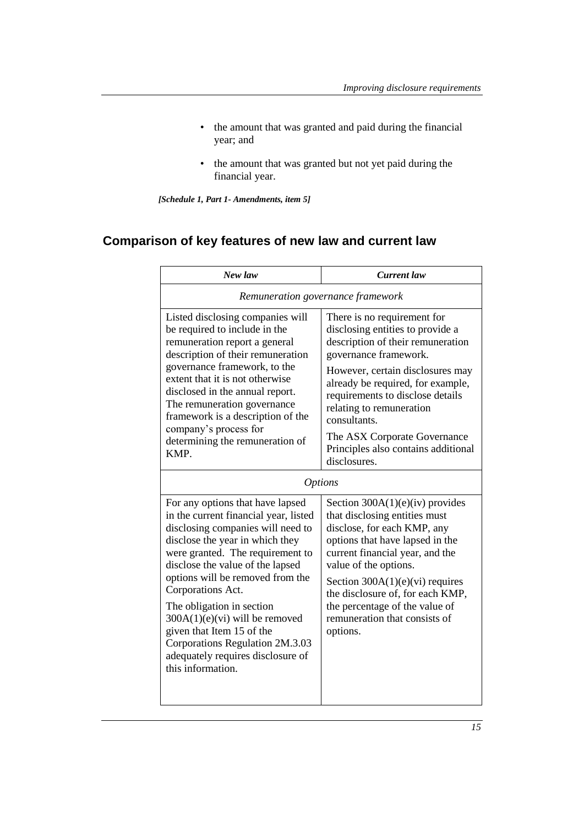- the amount that was granted and paid during the financial year; and
- the amount that was granted but not yet paid during the financial year.

*[Schedule 1, Part 1- Amendments, item 5]*

# **Comparison of key features of new law and current law**

| New law                                                                                                                                                                                                                                                                                                                                                                                                                                                                       | Current law                                                                                                                                                                                                                                                                                                                                            |  |  |
|-------------------------------------------------------------------------------------------------------------------------------------------------------------------------------------------------------------------------------------------------------------------------------------------------------------------------------------------------------------------------------------------------------------------------------------------------------------------------------|--------------------------------------------------------------------------------------------------------------------------------------------------------------------------------------------------------------------------------------------------------------------------------------------------------------------------------------------------------|--|--|
| Remuneration governance framework                                                                                                                                                                                                                                                                                                                                                                                                                                             |                                                                                                                                                                                                                                                                                                                                                        |  |  |
| Listed disclosing companies will<br>be required to include in the<br>remuneration report a general<br>description of their remuneration<br>governance framework, to the<br>extent that it is not otherwise<br>disclosed in the annual report.<br>The remuneration governance<br>framework is a description of the<br>company's process for                                                                                                                                    | There is no requirement for<br>disclosing entities to provide a<br>description of their remuneration<br>governance framework.<br>However, certain disclosures may<br>already be required, for example,<br>requirements to disclose details<br>relating to remuneration<br>consultants<br>The ASX Corporate Governance                                  |  |  |
| determining the remuneration of<br>KMP.                                                                                                                                                                                                                                                                                                                                                                                                                                       | Principles also contains additional<br>disclosures.                                                                                                                                                                                                                                                                                                    |  |  |
| <i><b>Options</b></i>                                                                                                                                                                                                                                                                                                                                                                                                                                                         |                                                                                                                                                                                                                                                                                                                                                        |  |  |
| For any options that have lapsed<br>in the current financial year, listed<br>disclosing companies will need to<br>disclose the year in which they<br>were granted. The requirement to<br>disclose the value of the lapsed<br>options will be removed from the<br>Corporations Act.<br>The obligation in section<br>$300A(1)(e)(vi)$ will be removed<br>given that Item 15 of the<br>Corporations Regulation 2M.3.03<br>adequately requires disclosure of<br>this information. | Section 300A(1)(e)(iv) provides<br>that disclosing entities must<br>disclose, for each KMP, any<br>options that have lapsed in the<br>current financial year, and the<br>value of the options.<br>Section $300A(1)(e)(vi)$ requires<br>the disclosure of, for each KMP,<br>the percentage of the value of<br>remuneration that consists of<br>options. |  |  |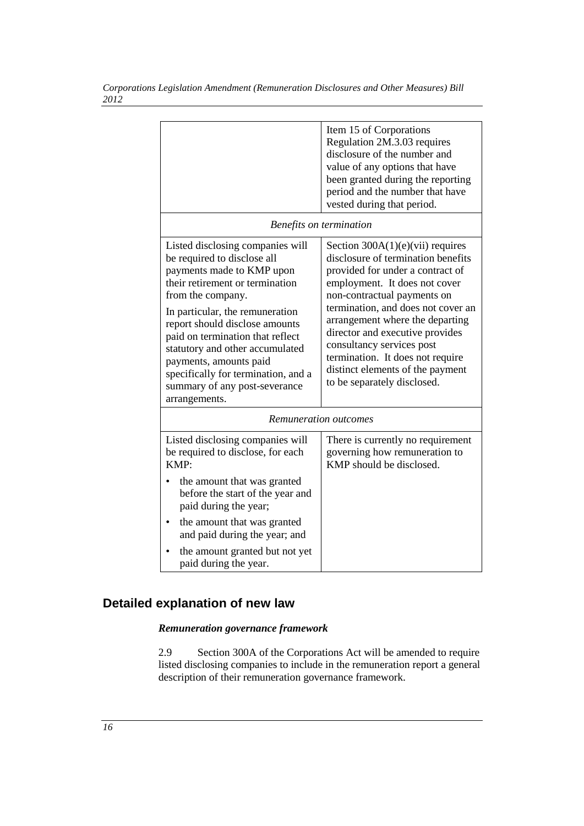|                                                                                                                                                                                                                                                                                                                                                                                                                     | Item 15 of Corporations<br>Regulation 2M.3.03 requires<br>disclosure of the number and<br>value of any options that have<br>been granted during the reporting<br>period and the number that have<br>vested during that period.                                                                                                                                                                                              |
|---------------------------------------------------------------------------------------------------------------------------------------------------------------------------------------------------------------------------------------------------------------------------------------------------------------------------------------------------------------------------------------------------------------------|-----------------------------------------------------------------------------------------------------------------------------------------------------------------------------------------------------------------------------------------------------------------------------------------------------------------------------------------------------------------------------------------------------------------------------|
|                                                                                                                                                                                                                                                                                                                                                                                                                     | Benefits on termination                                                                                                                                                                                                                                                                                                                                                                                                     |
| Listed disclosing companies will<br>be required to disclose all<br>payments made to KMP upon<br>their retirement or termination<br>from the company.<br>In particular, the remuneration<br>report should disclose amounts<br>paid on termination that reflect<br>statutory and other accumulated<br>payments, amounts paid<br>specifically for termination, and a<br>summary of any post-severance<br>arrangements. | Section $300A(1)(e)(vi)$ requires<br>disclosure of termination benefits<br>provided for under a contract of<br>employment. It does not cover<br>non-contractual payments on<br>termination, and does not cover an<br>arrangement where the departing<br>director and executive provides<br>consultancy services post<br>termination. It does not require<br>distinct elements of the payment<br>to be separately disclosed. |
|                                                                                                                                                                                                                                                                                                                                                                                                                     | Remuneration outcomes                                                                                                                                                                                                                                                                                                                                                                                                       |
| Listed disclosing companies will<br>be required to disclose, for each<br>KMP:                                                                                                                                                                                                                                                                                                                                       | There is currently no requirement<br>governing how remuneration to<br>KMP should be disclosed.                                                                                                                                                                                                                                                                                                                              |
| the amount that was granted<br>before the start of the year and<br>paid during the year;                                                                                                                                                                                                                                                                                                                            |                                                                                                                                                                                                                                                                                                                                                                                                                             |
| the amount that was granted<br>$\bullet$<br>and paid during the year; and                                                                                                                                                                                                                                                                                                                                           |                                                                                                                                                                                                                                                                                                                                                                                                                             |
| the amount granted but not yet<br>paid during the year.                                                                                                                                                                                                                                                                                                                                                             |                                                                                                                                                                                                                                                                                                                                                                                                                             |

*Corporations Legislation Amendment (Remuneration Disclosures and Other Measures) Bill 2012*

# **Detailed explanation of new law**

#### *Remuneration governance framework*

2.9 Section 300A of the Corporations Act will be amended to require listed disclosing companies to include in the remuneration report a general description of their remuneration governance framework.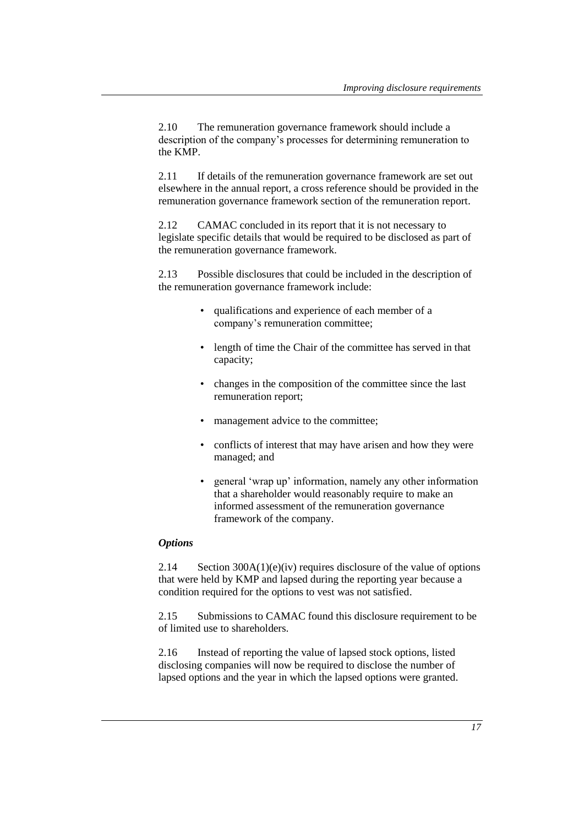2.10 The remuneration governance framework should include a description of the company's processes for determining remuneration to the KMP.

2.11 If details of the remuneration governance framework are set out elsewhere in the annual report, a cross reference should be provided in the remuneration governance framework section of the remuneration report.

2.12 CAMAC concluded in its report that it is not necessary to legislate specific details that would be required to be disclosed as part of the remuneration governance framework.

2.13 Possible disclosures that could be included in the description of the remuneration governance framework include:

- qualifications and experience of each member of a company's remuneration committee;
- length of time the Chair of the committee has served in that capacity;
- changes in the composition of the committee since the last remuneration report;
- management advice to the committee;
- conflicts of interest that may have arisen and how they were managed; and
- general 'wrap up' information, namely any other information that a shareholder would reasonably require to make an informed assessment of the remuneration governance framework of the company.

#### *Options*

2.14 Section 300A(1)(e)(iv) requires disclosure of the value of options that were held by KMP and lapsed during the reporting year because a condition required for the options to vest was not satisfied.

2.15 Submissions to CAMAC found this disclosure requirement to be of limited use to shareholders.

2.16 Instead of reporting the value of lapsed stock options, listed disclosing companies will now be required to disclose the number of lapsed options and the year in which the lapsed options were granted.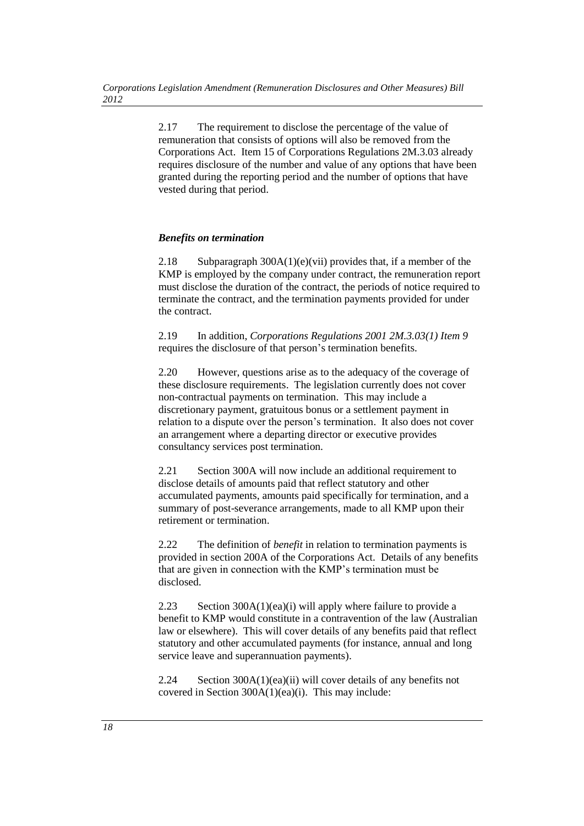2.17 The requirement to disclose the percentage of the value of remuneration that consists of options will also be removed from the Corporations Act. Item 15 of Corporations Regulations 2M.3.03 already requires disclosure of the number and value of any options that have been granted during the reporting period and the number of options that have vested during that period.

#### *Benefits on termination*

2.18 Subparagraph 300A(1)(e)(vii) provides that, if a member of the KMP is employed by the company under contract, the remuneration report must disclose the duration of the contract, the periods of notice required to terminate the contract, and the termination payments provided for under the contract.

2.19 In addition, *Corporations Regulations 2001 2M.3.03(1) Item 9* requires the disclosure of that person's termination benefits.

2.20 However, questions arise as to the adequacy of the coverage of these disclosure requirements. The legislation currently does not cover non-contractual payments on termination. This may include a discretionary payment, gratuitous bonus or a settlement payment in relation to a dispute over the person's termination. It also does not cover an arrangement where a departing director or executive provides consultancy services post termination.

2.21 Section 300A will now include an additional requirement to disclose details of amounts paid that reflect statutory and other accumulated payments, amounts paid specifically for termination, and a summary of post-severance arrangements, made to all KMP upon their retirement or termination.

2.22 The definition of *benefit* in relation to termination payments is provided in section 200A of the Corporations Act. Details of any benefits that are given in connection with the KMP's termination must be disclosed.

2.23 Section 300A(1)(ea)(i) will apply where failure to provide a benefit to KMP would constitute in a contravention of the law (Australian law or elsewhere). This will cover details of any benefits paid that reflect statutory and other accumulated payments (for instance, annual and long service leave and superannuation payments).

2.24 Section 300A(1)(ea)(ii) will cover details of any benefits not covered in Section 300A(1)(ea)(i). This may include: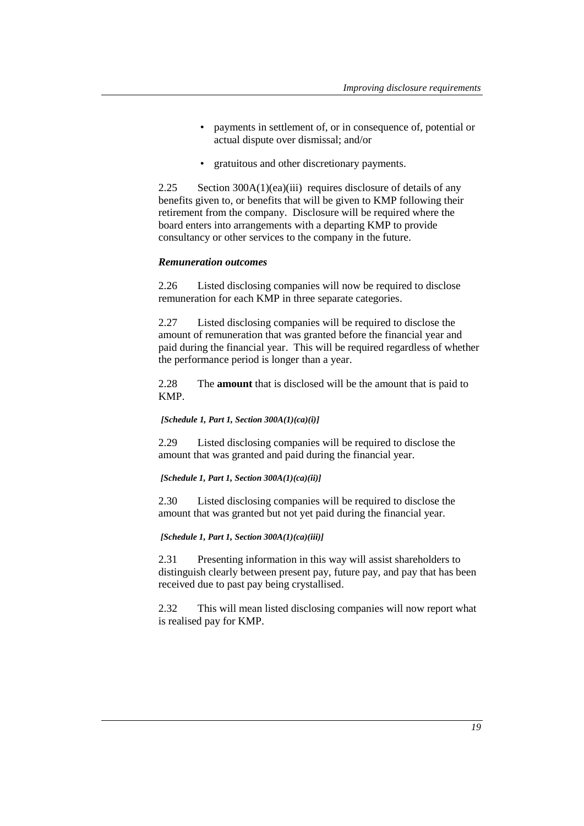- payments in settlement of, or in consequence of, potential or actual dispute over dismissal; and/or
- gratuitous and other discretionary payments.

2.25 Section 300A(1)(ea)(iii) requires disclosure of details of any benefits given to, or benefits that will be given to KMP following their retirement from the company. Disclosure will be required where the board enters into arrangements with a departing KMP to provide consultancy or other services to the company in the future.

#### *Remuneration outcomes*

2.26 Listed disclosing companies will now be required to disclose remuneration for each KMP in three separate categories.

2.27 Listed disclosing companies will be required to disclose the amount of remuneration that was granted before the financial year and paid during the financial year. This will be required regardless of whether the performance period is longer than a year.

2.28 The **amount** that is disclosed will be the amount that is paid to KMP.

*[Schedule 1, Part 1, Section 300A(1)(ca)(i)]* 

2.29 Listed disclosing companies will be required to disclose the amount that was granted and paid during the financial year.

*[Schedule 1, Part 1, Section 300A(1)(ca)(ii)]* 

2.30 Listed disclosing companies will be required to disclose the amount that was granted but not yet paid during the financial year.

*[Schedule 1, Part 1, Section 300A(1)(ca)(iii)]* 

2.31 Presenting information in this way will assist shareholders to distinguish clearly between present pay, future pay, and pay that has been received due to past pay being crystallised.

2.32 This will mean listed disclosing companies will now report what is realised pay for KMP.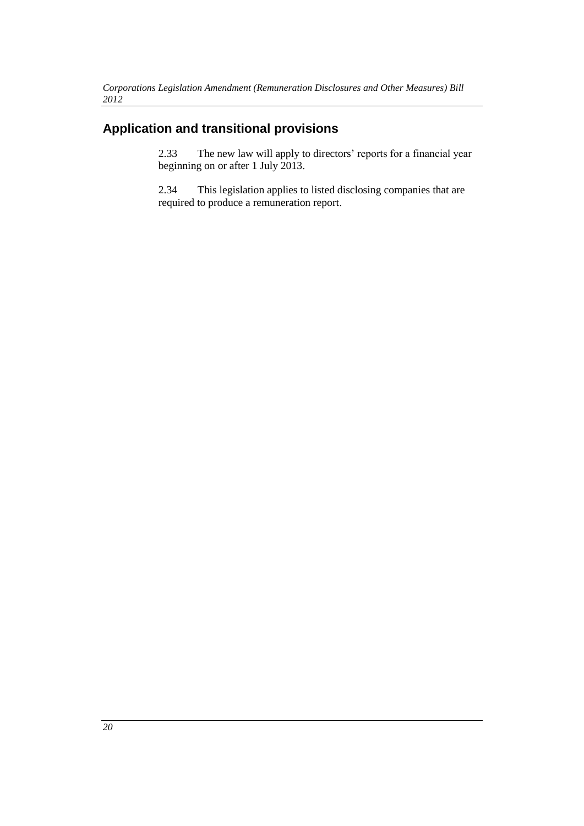# **Application and transitional provisions**

2.33 The new law will apply to directors' reports for a financial year beginning on or after 1 July 2013.

2.34 This legislation applies to listed disclosing companies that are required to produce a remuneration report.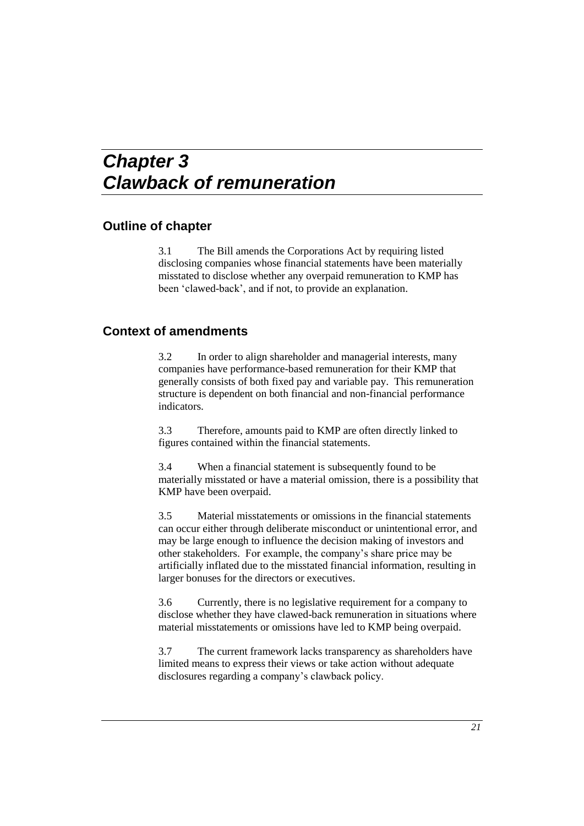# *Chapter 3 Clawback of remuneration*

#### **Outline of chapter**

3.1 The Bill amends the Corporations Act by requiring listed disclosing companies whose financial statements have been materially misstated to disclose whether any overpaid remuneration to KMP has been 'clawed-back', and if not, to provide an explanation.

### **Context of amendments**

3.2 In order to align shareholder and managerial interests, many companies have performance-based remuneration for their KMP that generally consists of both fixed pay and variable pay. This remuneration structure is dependent on both financial and non-financial performance indicators.

3.3 Therefore, amounts paid to KMP are often directly linked to figures contained within the financial statements.

3.4 When a financial statement is subsequently found to be materially misstated or have a material omission, there is a possibility that KMP have been overpaid.

3.5 Material misstatements or omissions in the financial statements can occur either through deliberate misconduct or unintentional error, and may be large enough to influence the decision making of investors and other stakeholders. For example, the company's share price may be artificially inflated due to the misstated financial information, resulting in larger bonuses for the directors or executives.

3.6 Currently, there is no legislative requirement for a company to disclose whether they have clawed-back remuneration in situations where material misstatements or omissions have led to KMP being overpaid.

3.7 The current framework lacks transparency as shareholders have limited means to express their views or take action without adequate disclosures regarding a company's clawback policy.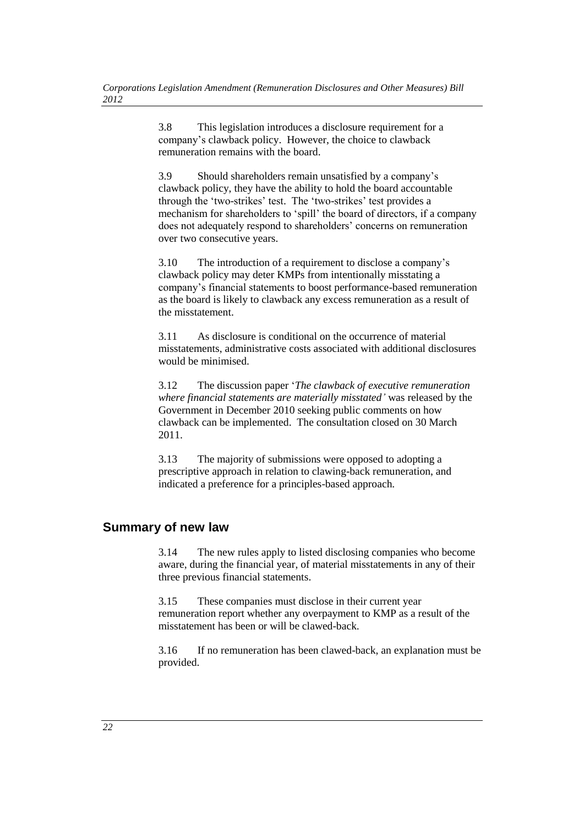3.8 This legislation introduces a disclosure requirement for a company's clawback policy. However, the choice to clawback remuneration remains with the board.

3.9 Should shareholders remain unsatisfied by a company's clawback policy, they have the ability to hold the board accountable through the 'two-strikes' test. The 'two-strikes' test provides a mechanism for shareholders to 'spill' the board of directors, if a company does not adequately respond to shareholders' concerns on remuneration over two consecutive years.

3.10 The introduction of a requirement to disclose a company's clawback policy may deter KMPs from intentionally misstating a company's financial statements to boost performance-based remuneration as the board is likely to clawback any excess remuneration as a result of the misstatement.

3.11 As disclosure is conditional on the occurrence of material misstatements, administrative costs associated with additional disclosures would be minimised.

3.12 The discussion paper '*The clawback of executive remuneration where financial statements are materially misstated'* was released by the Government in December 2010 seeking public comments on how clawback can be implemented. The consultation closed on 30 March 2011.

3.13 The majority of submissions were opposed to adopting a prescriptive approach in relation to clawing-back remuneration, and indicated a preference for a principles-based approach.

### **Summary of new law**

3.14 The new rules apply to listed disclosing companies who become aware, during the financial year, of material misstatements in any of their three previous financial statements.

3.15 These companies must disclose in their current year remuneration report whether any overpayment to KMP as a result of the misstatement has been or will be clawed-back.

3.16 If no remuneration has been clawed-back, an explanation must be provided.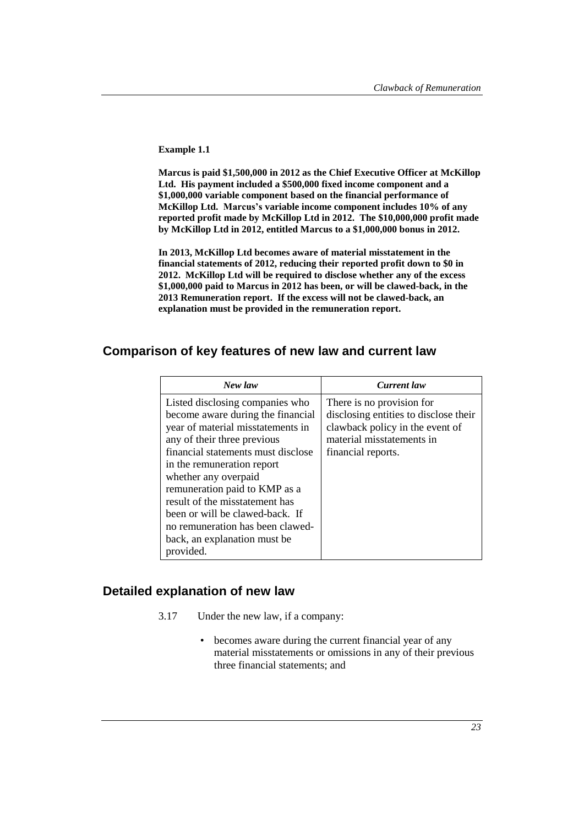**Example 1.1**

**Marcus is paid \$1,500,000 in 2012 as the Chief Executive Officer at McKillop Ltd. His payment included a \$500,000 fixed income component and a \$1,000,000 variable component based on the financial performance of McKillop Ltd. Marcus's variable income component includes 10% of any reported profit made by McKillop Ltd in 2012. The \$10,000,000 profit made by McKillop Ltd in 2012, entitled Marcus to a \$1,000,000 bonus in 2012.** 

**In 2013, McKillop Ltd becomes aware of material misstatement in the financial statements of 2012, reducing their reported profit down to \$0 in 2012. McKillop Ltd will be required to disclose whether any of the excess \$1,000,000 paid to Marcus in 2012 has been, or will be clawed-back, in the 2013 Remuneration report. If the excess will not be clawed-back, an explanation must be provided in the remuneration report.**

### **Comparison of key features of new law and current law**

| New law                                                                                                                                                                                                                                                                                                                                                                                                                      | <b>Current</b> law                                                                                                                                       |
|------------------------------------------------------------------------------------------------------------------------------------------------------------------------------------------------------------------------------------------------------------------------------------------------------------------------------------------------------------------------------------------------------------------------------|----------------------------------------------------------------------------------------------------------------------------------------------------------|
| Listed disclosing companies who<br>become aware during the financial<br>year of material misstatements in<br>any of their three previous<br>financial statements must disclose<br>in the remuneration report<br>whether any overpaid<br>remuneration paid to KMP as a<br>result of the misstatement has<br>been or will be clawed-back. If<br>no remuneration has been clawed-<br>back, an explanation must be.<br>provided. | There is no provision for<br>disclosing entities to disclose their<br>clawback policy in the event of<br>material misstatements in<br>financial reports. |

#### **Detailed explanation of new law**

- 3.17 Under the new law, if a company:
	- becomes aware during the current financial year of any material misstatements or omissions in any of their previous three financial statements; and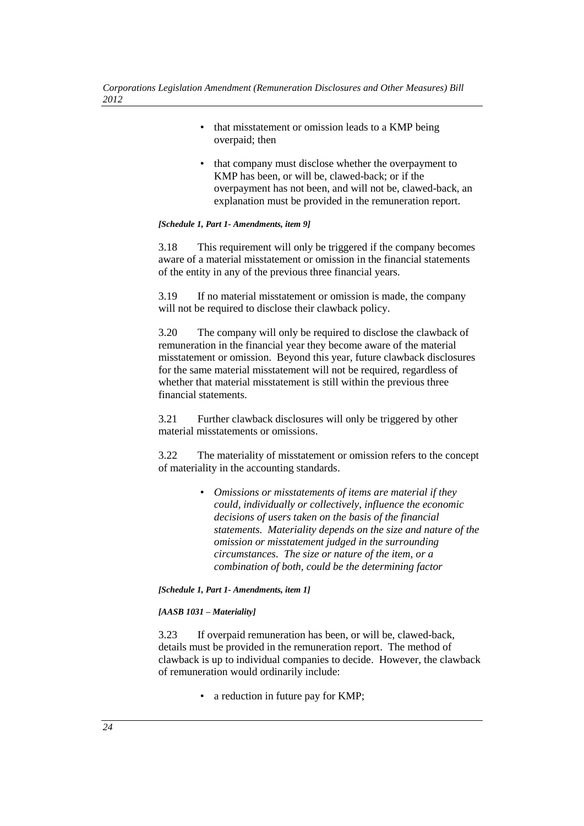- that misstatement or omission leads to a KMP being overpaid; then
- that company must disclose whether the overpayment to KMP has been, or will be, clawed-back; or if the overpayment has not been, and will not be, clawed-back, an explanation must be provided in the remuneration report.

#### *[Schedule 1, Part 1- Amendments, item 9]*

3.18 This requirement will only be triggered if the company becomes aware of a material misstatement or omission in the financial statements of the entity in any of the previous three financial years.

3.19 If no material misstatement or omission is made, the company will not be required to disclose their clawback policy.

3.20 The company will only be required to disclose the clawback of remuneration in the financial year they become aware of the material misstatement or omission. Beyond this year, future clawback disclosures for the same material misstatement will not be required, regardless of whether that material misstatement is still within the previous three financial statements.

3.21 Further clawback disclosures will only be triggered by other material misstatements or omissions.

3.22 The materiality of misstatement or omission refers to the concept of materiality in the accounting standards.

> • *Omissions or misstatements of items are material if they could, individually or collectively, influence the economic decisions of users taken on the basis of the financial statements. Materiality depends on the size and nature of the omission or misstatement judged in the surrounding circumstances. The size or nature of the item, or a combination of both, could be the determining factor*

*[Schedule 1, Part 1- Amendments, item 1]*

#### *[AASB 1031 – Materiality]*

3.23 If overpaid remuneration has been, or will be, clawed-back, details must be provided in the remuneration report. The method of clawback is up to individual companies to decide. However, the clawback of remuneration would ordinarily include:

• a reduction in future pay for KMP: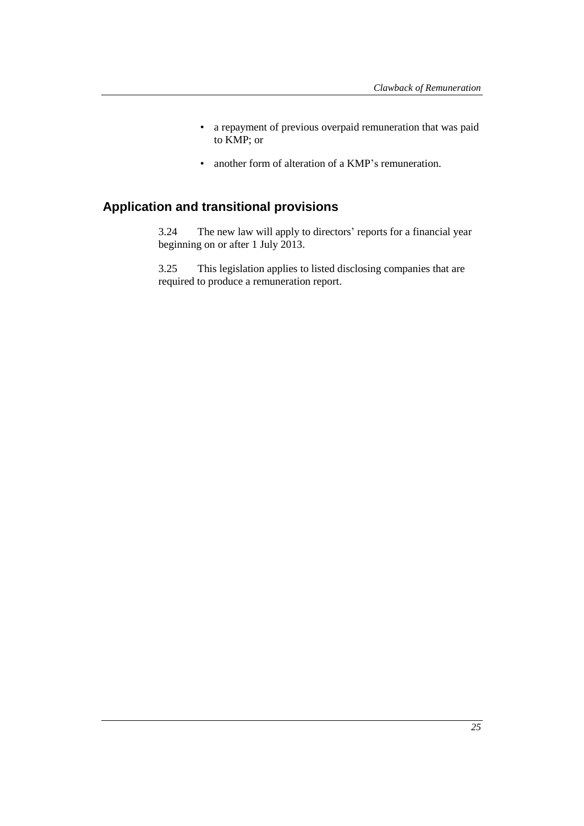- a repayment of previous overpaid remuneration that was paid to KMP; or
- another form of alteration of a KMP's remuneration.

# **Application and transitional provisions**

3.24 The new law will apply to directors' reports for a financial year beginning on or after 1 July 2013.

3.25 This legislation applies to listed disclosing companies that are required to produce a remuneration report.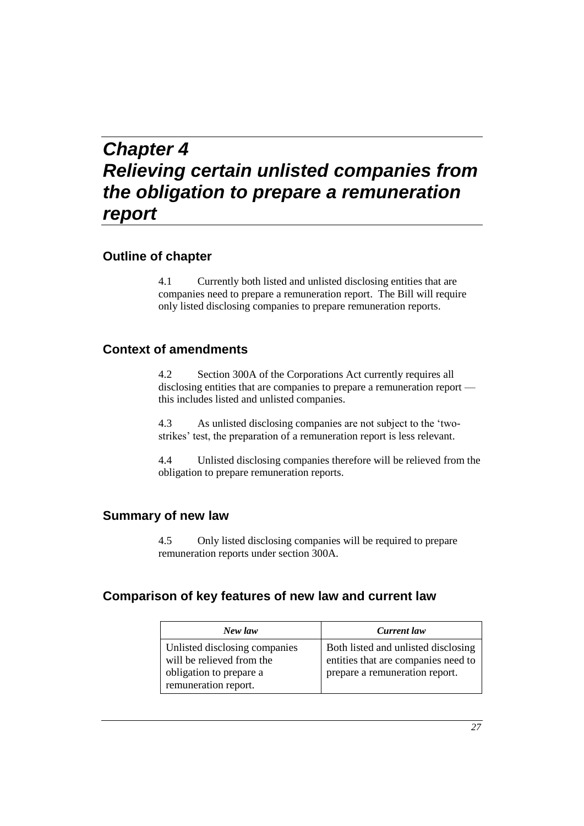# *Chapter 4 Relieving certain unlisted companies from the obligation to prepare a remuneration report*

### **Outline of chapter**

4.1 Currently both listed and unlisted disclosing entities that are companies need to prepare a remuneration report. The Bill will require only listed disclosing companies to prepare remuneration reports.

### **Context of amendments**

4.2 Section 300A of the Corporations Act currently requires all disclosing entities that are companies to prepare a remuneration report this includes listed and unlisted companies.

4.3 As unlisted disclosing companies are not subject to the 'twostrikes' test, the preparation of a remuneration report is less relevant.

4.4 Unlisted disclosing companies therefore will be relieved from the obligation to prepare remuneration reports.

#### **Summary of new law**

4.5 Only listed disclosing companies will be required to prepare remuneration reports under section 300A.

### **Comparison of key features of new law and current law**

| New law                                                                                                       | Current law                                                                                                  |
|---------------------------------------------------------------------------------------------------------------|--------------------------------------------------------------------------------------------------------------|
| Unlisted disclosing companies<br>will be relieved from the<br>obligation to prepare a<br>remuneration report. | Both listed and unlisted disclosing<br>entities that are companies need to<br>prepare a remuneration report. |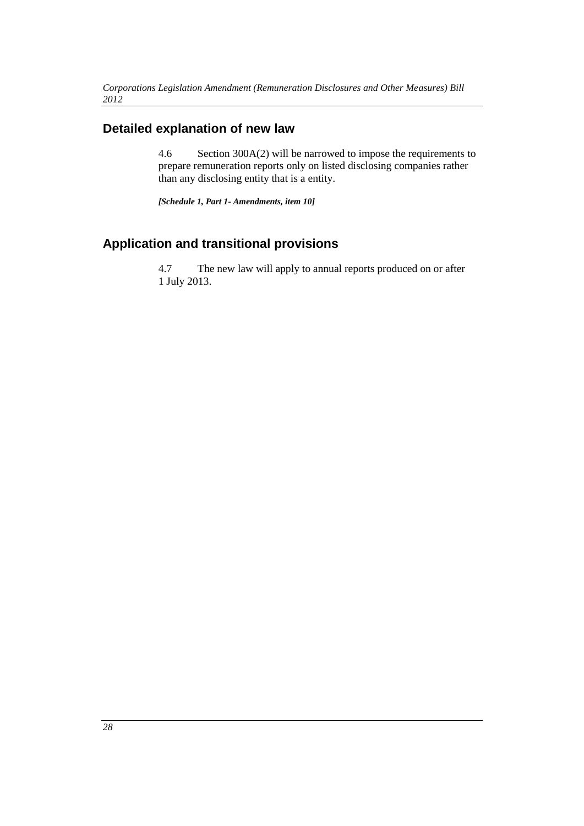## **Detailed explanation of new law**

4.6 Section 300A(2) will be narrowed to impose the requirements to prepare remuneration reports only on listed disclosing companies rather than any disclosing entity that is a entity.

*[Schedule 1, Part 1- Amendments, item 10]*

## **Application and transitional provisions**

4.7 The new law will apply to annual reports produced on or after 1 July 2013.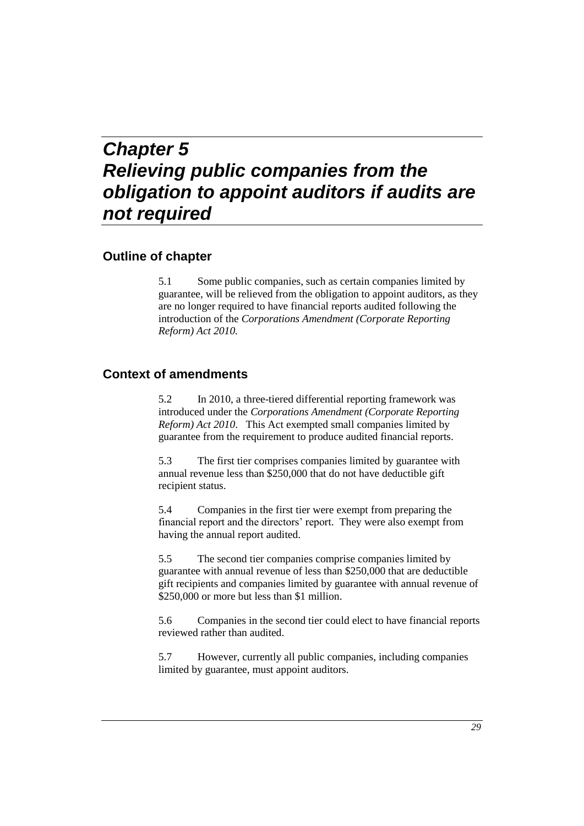# *Chapter 5 Relieving public companies from the obligation to appoint auditors if audits are not required*

### **Outline of chapter**

5.1 Some public companies, such as certain companies limited by guarantee, will be relieved from the obligation to appoint auditors, as they are no longer required to have financial reports audited following the introduction of the *Corporations Amendment (Corporate Reporting Reform) Act 2010.*

#### **Context of amendments**

5.2 In 2010, a three-tiered differential reporting framework was introduced under the *Corporations Amendment (Corporate Reporting Reform) Act 2010*. This Act exempted small companies limited by guarantee from the requirement to produce audited financial reports.

5.3 The first tier comprises companies limited by guarantee with annual revenue less than \$250,000 that do not have deductible gift recipient status.

5.4 Companies in the first tier were exempt from preparing the financial report and the directors' report. They were also exempt from having the annual report audited.

5.5 The second tier companies comprise companies limited by guarantee with annual revenue of less than \$250,000 that are deductible gift recipients and companies limited by guarantee with annual revenue of \$250,000 or more but less than \$1 million.

5.6 Companies in the second tier could elect to have financial reports reviewed rather than audited.

5.7 However, currently all public companies, including companies limited by guarantee, must appoint auditors.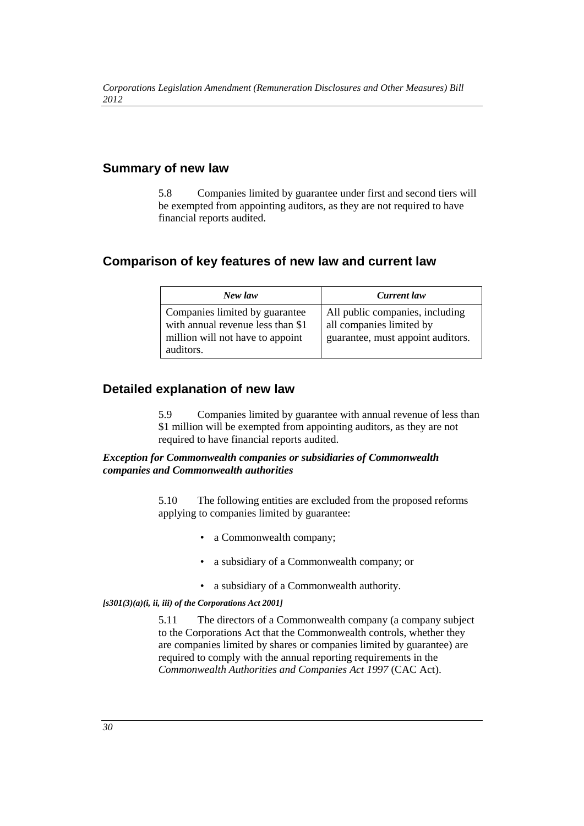### **Summary of new law**

5.8 Companies limited by guarantee under first and second tiers will be exempted from appointing auditors, as they are not required to have financial reports audited.

## **Comparison of key features of new law and current law**

| New law                                                                                                              | Current law                                                                                      |
|----------------------------------------------------------------------------------------------------------------------|--------------------------------------------------------------------------------------------------|
| Companies limited by guarantee<br>with annual revenue less than \$1<br>million will not have to appoint<br>auditors. | All public companies, including<br>all companies limited by<br>guarantee, must appoint auditors. |

### **Detailed explanation of new law**

5.9 Companies limited by guarantee with annual revenue of less than \$1 million will be exempted from appointing auditors, as they are not required to have financial reports audited.

*Exception for Commonwealth companies or subsidiaries of Commonwealth companies and Commonwealth authorities*

> 5.10 The following entities are excluded from the proposed reforms applying to companies limited by guarantee:

- a Commonwealth company:
- a subsidiary of a Commonwealth company; or
- a subsidiary of a Commonwealth authority.

*[s301(3)(a)(i, ii, iii) of the Corporations Act 2001]*

5.11 The directors of a Commonwealth company (a company subject to the Corporations Act that the Commonwealth controls, whether they are companies limited by shares or companies limited by guarantee) are required to comply with the annual reporting requirements in the *Commonwealth Authorities and Companies Act 1997* (CAC Act).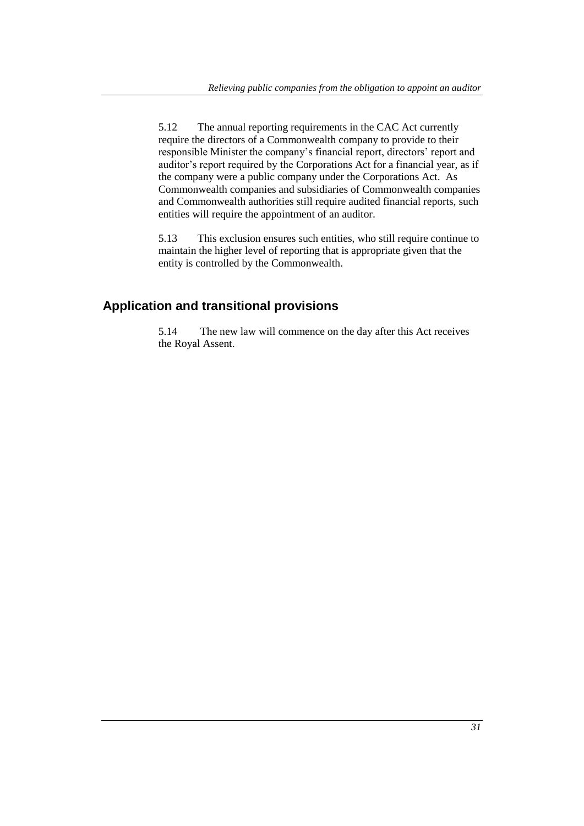5.12 The annual reporting requirements in the CAC Act currently require the directors of a Commonwealth company to provide to their responsible Minister the company's financial report, directors' report and auditor's report required by the Corporations Act for a financial year, as if the company were a public company under the Corporations Act. As Commonwealth companies and subsidiaries of Commonwealth companies and Commonwealth authorities still require audited financial reports, such entities will require the appointment of an auditor.

5.13 This exclusion ensures such entities, who still require continue to maintain the higher level of reporting that is appropriate given that the entity is controlled by the Commonwealth.

## **Application and transitional provisions**

5.14 The new law will commence on the day after this Act receives the Royal Assent.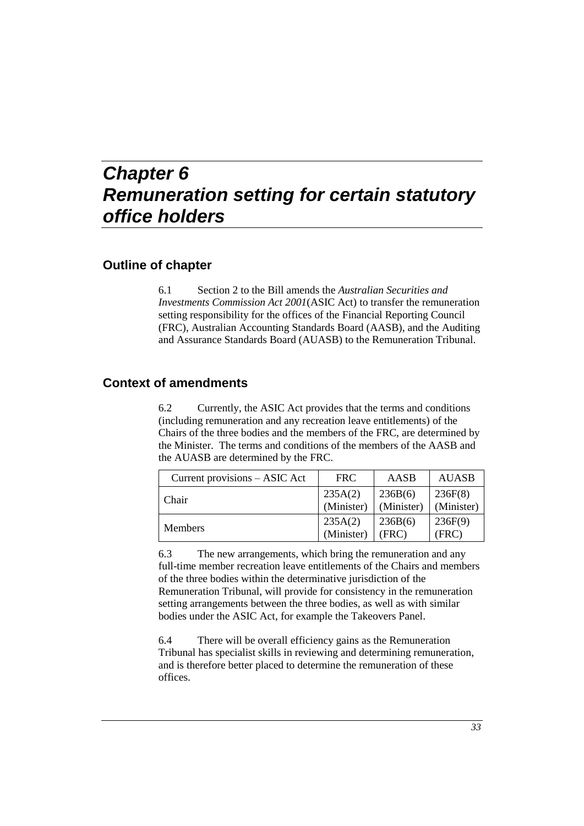# *Chapter 6 Remuneration setting for certain statutory office holders*

### **Outline of chapter**

6.1 Section 2 to the Bill amends the *Australian Securities and Investments Commission Act 2001*(ASIC Act) to transfer the remuneration setting responsibility for the offices of the Financial Reporting Council (FRC), Australian Accounting Standards Board (AASB), and the Auditing and Assurance Standards Board (AUASB) to the Remuneration Tribunal.

#### **Context of amendments**

6.2 Currently, the ASIC Act provides that the terms and conditions (including remuneration and any recreation leave entitlements) of the Chairs of the three bodies and the members of the FRC, are determined by the Minister. The terms and conditions of the members of the AASB and the AUASB are determined by the FRC.

| Current provisions – ASIC Act | <b>FRC</b> | AASB       | <b>AUASB</b> |
|-------------------------------|------------|------------|--------------|
| Chair                         | 235A(2)    | 236B(6)    | 236F(8)      |
|                               | (Minister) | (Minister) | (Minister)   |
| <b>Members</b>                | 235A(2)    | 236B(6)    | 236F(9)      |
|                               | (Minister) | (FRC)      | (FRC)        |

6.3 The new arrangements, which bring the remuneration and any full-time member recreation leave entitlements of the Chairs and members of the three bodies within the determinative jurisdiction of the Remuneration Tribunal, will provide for consistency in the remuneration setting arrangements between the three bodies, as well as with similar bodies under the ASIC Act, for example the Takeovers Panel.

6.4 There will be overall efficiency gains as the Remuneration Tribunal has specialist skills in reviewing and determining remuneration, and is therefore better placed to determine the remuneration of these offices.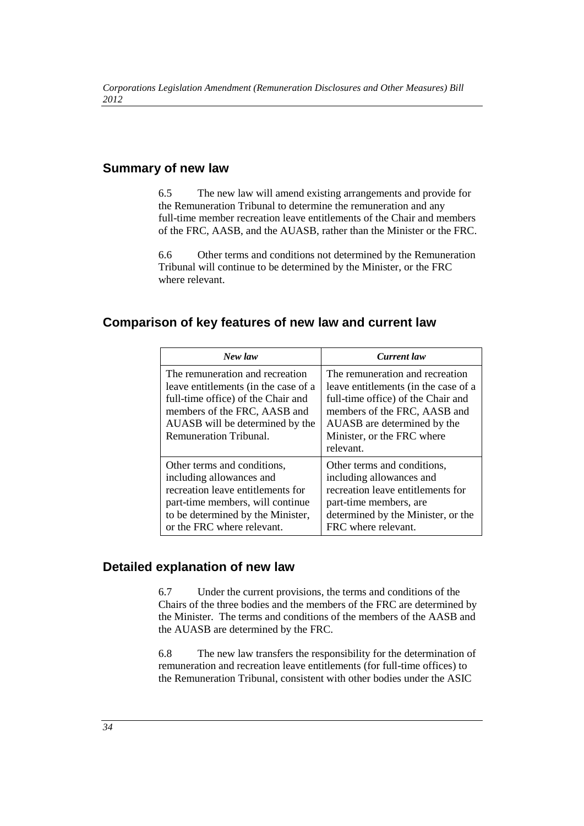### **Summary of new law**

6.5 The new law will amend existing arrangements and provide for the Remuneration Tribunal to determine the remuneration and any full-time member recreation leave entitlements of the Chair and members of the FRC, AASB, and the AUASB, rather than the Minister or the FRC.

6.6 Other terms and conditions not determined by the Remuneration Tribunal will continue to be determined by the Minister, or the FRC where relevant.

#### **Comparison of key features of new law and current law**

| New law                                                                                                                                                                                                    | <b>Current</b> law                                                                                                                                                                                                      |
|------------------------------------------------------------------------------------------------------------------------------------------------------------------------------------------------------------|-------------------------------------------------------------------------------------------------------------------------------------------------------------------------------------------------------------------------|
| The remuneration and recreation<br>leave entitlements (in the case of a<br>full-time office) of the Chair and<br>members of the FRC, AASB and<br>AUASB will be determined by the<br>Remuneration Tribunal. | The remuneration and recreation<br>leave entitlements (in the case of a<br>full-time office) of the Chair and<br>members of the FRC, AASB and<br>AUASB are determined by the<br>Minister, or the FRC where<br>relevant. |
| Other terms and conditions,<br>including allowances and<br>recreation leave entitlements for<br>part-time members, will continue<br>to be determined by the Minister,<br>or the FRC where relevant.        | Other terms and conditions,<br>including allowances and<br>recreation leave entitlements for<br>part-time members, are<br>determined by the Minister, or the<br>FRC where relevant.                                     |

#### **Detailed explanation of new law**

6.7 Under the current provisions, the terms and conditions of the Chairs of the three bodies and the members of the FRC are determined by the Minister. The terms and conditions of the members of the AASB and the AUASB are determined by the FRC.

6.8 The new law transfers the responsibility for the determination of remuneration and recreation leave entitlements (for full-time offices) to the Remuneration Tribunal, consistent with other bodies under the ASIC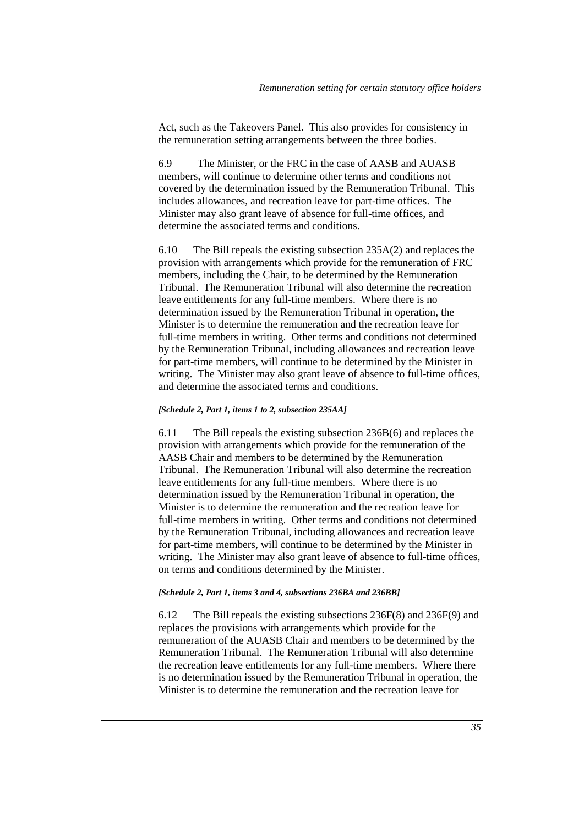Act, such as the Takeovers Panel. This also provides for consistency in the remuneration setting arrangements between the three bodies.

6.9 The Minister, or the FRC in the case of AASB and AUASB members, will continue to determine other terms and conditions not covered by the determination issued by the Remuneration Tribunal. This includes allowances, and recreation leave for part-time offices. The Minister may also grant leave of absence for full-time offices, and determine the associated terms and conditions.

6.10 The Bill repeals the existing subsection 235A(2) and replaces the provision with arrangements which provide for the remuneration of FRC members, including the Chair, to be determined by the Remuneration Tribunal. The Remuneration Tribunal will also determine the recreation leave entitlements for any full-time members. Where there is no determination issued by the Remuneration Tribunal in operation, the Minister is to determine the remuneration and the recreation leave for full-time members in writing. Other terms and conditions not determined by the Remuneration Tribunal, including allowances and recreation leave for part-time members, will continue to be determined by the Minister in writing. The Minister may also grant leave of absence to full-time offices, and determine the associated terms and conditions.

#### *[Schedule 2, Part 1, items 1 to 2, subsection 235AA]*

6.11 The Bill repeals the existing subsection 236B(6) and replaces the provision with arrangements which provide for the remuneration of the AASB Chair and members to be determined by the Remuneration Tribunal. The Remuneration Tribunal will also determine the recreation leave entitlements for any full-time members. Where there is no determination issued by the Remuneration Tribunal in operation, the Minister is to determine the remuneration and the recreation leave for full-time members in writing. Other terms and conditions not determined by the Remuneration Tribunal, including allowances and recreation leave for part-time members, will continue to be determined by the Minister in writing. The Minister may also grant leave of absence to full-time offices, on terms and conditions determined by the Minister.

#### *[Schedule 2, Part 1, items 3 and 4, subsections 236BA and 236BB]*

6.12 The Bill repeals the existing subsections 236F(8) and 236F(9) and replaces the provisions with arrangements which provide for the remuneration of the AUASB Chair and members to be determined by the Remuneration Tribunal. The Remuneration Tribunal will also determine the recreation leave entitlements for any full-time members. Where there is no determination issued by the Remuneration Tribunal in operation, the Minister is to determine the remuneration and the recreation leave for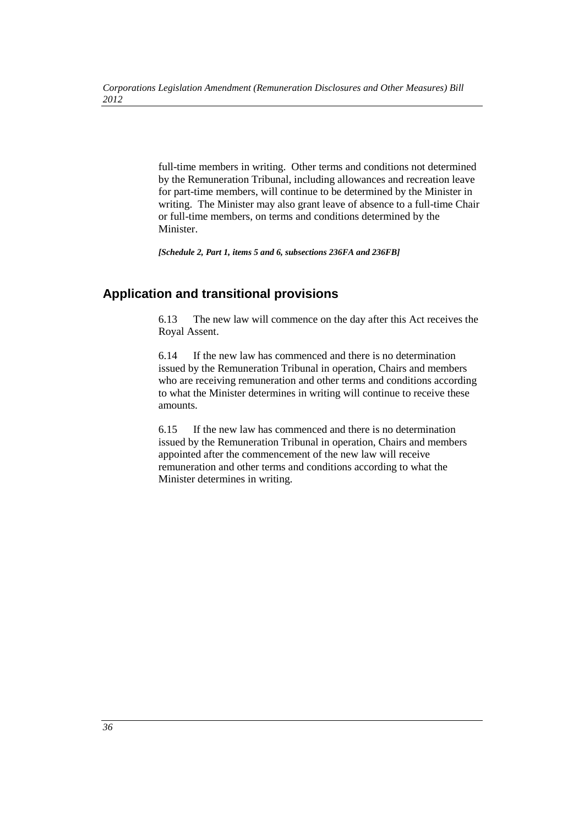full-time members in writing. Other terms and conditions not determined by the Remuneration Tribunal, including allowances and recreation leave for part-time members, will continue to be determined by the Minister in writing. The Minister may also grant leave of absence to a full-time Chair or full-time members, on terms and conditions determined by the Minister.

*[Schedule 2, Part 1, items 5 and 6, subsections 236FA and 236FB]*

## **Application and transitional provisions**

6.13 The new law will commence on the day after this Act receives the Royal Assent.

6.14 If the new law has commenced and there is no determination issued by the Remuneration Tribunal in operation, Chairs and members who are receiving remuneration and other terms and conditions according to what the Minister determines in writing will continue to receive these amounts.

6.15 If the new law has commenced and there is no determination issued by the Remuneration Tribunal in operation, Chairs and members appointed after the commencement of the new law will receive remuneration and other terms and conditions according to what the Minister determines in writing.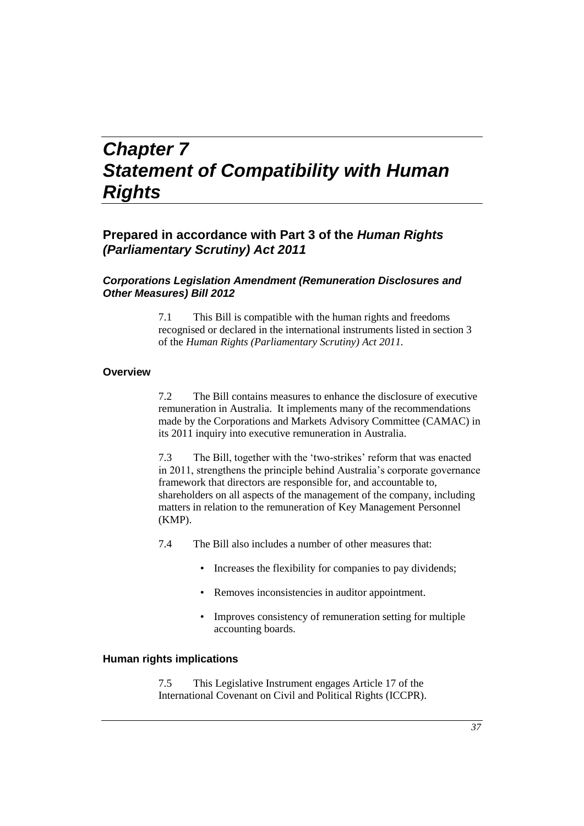# *Chapter 7 Statement of Compatibility with Human Rights*

## **Prepared in accordance with Part 3 of the** *Human Rights (Parliamentary Scrutiny) Act 2011*

#### *Corporations Legislation Amendment (Remuneration Disclosures and Other Measures) Bill 2012*

7.1 This Bill is compatible with the human rights and freedoms recognised or declared in the international instruments listed in section 3 of the *Human Rights (Parliamentary Scrutiny) Act 2011.*

#### **Overview**

7.2 The Bill contains measures to enhance the disclosure of executive remuneration in Australia. It implements many of the recommendations made by the Corporations and Markets Advisory Committee (CAMAC) in its 2011 inquiry into executive remuneration in Australia.

7.3 The Bill, together with the 'two-strikes' reform that was enacted in 2011, strengthens the principle behind Australia's corporate governance framework that directors are responsible for, and accountable to, shareholders on all aspects of the management of the company, including matters in relation to the remuneration of Key Management Personnel (KMP).

7.4 The Bill also includes a number of other measures that:

- Increases the flexibility for companies to pay dividends;
- Removes inconsistencies in auditor appointment.
- Improves consistency of remuneration setting for multiple accounting boards.

#### **Human rights implications**

7.5 This Legislative Instrument engages Article 17 of the International Covenant on Civil and Political Rights (ICCPR).